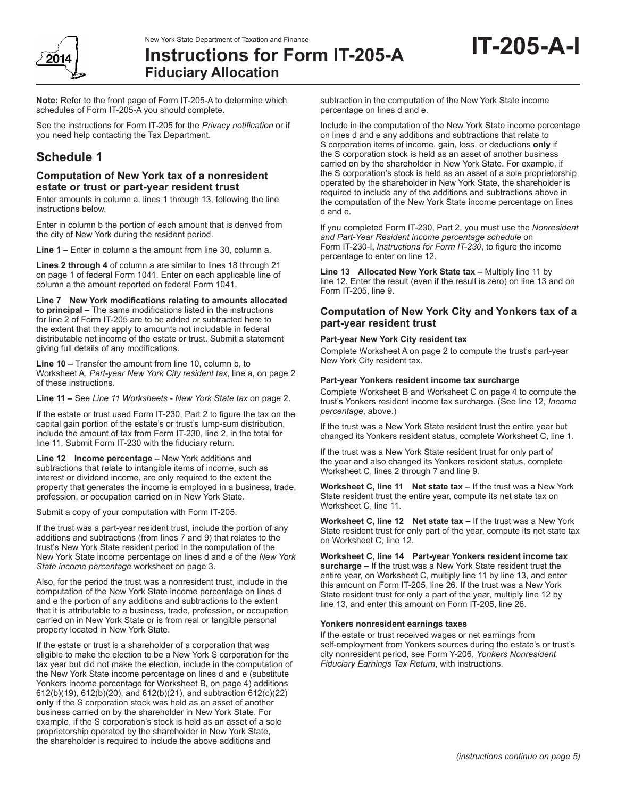

**Note:** Refer to the front page of Form IT-205-A to determine which schedules of Form IT-205-A you should complete.

See the instructions for Form IT-205 for the *Privacy notification* or if you need help contacting the Tax Department.

# **Schedule 1**

## **Computation of New York tax of a nonresident estate or trust or part-year resident trust**

Enter amounts in column a, lines 1 through 13, following the line instructions below.

Enter in column b the portion of each amount that is derived from the city of New York during the resident period.

**Line 1 –** Enter in column a the amount from line 30, column a.

**Lines 2 through 4** of column a are similar to lines 18 through 21 on page 1 of federal Form 1041. Enter on each applicable line of column a the amount reported on federal Form 1041.

**Line 7 New York modifications relating to amounts allocated to principal –** The same modifications listed in the instructions for line 2 of Form IT-205 are to be added or subtracted here to the extent that they apply to amounts not includable in federal distributable net income of the estate or trust. Submit a statement giving full details of any modifications.

**Line 10 –** Transfer the amount from line 10, column b, to Worksheet A, *Part‑year New York City resident tax*, line a, on page 2 of these instructions.

**Line 11 –** See *Line 11 Worksheets - New York State tax* on page 2.

If the estate or trust used Form IT‑230, Part 2 to figure the tax on the capital gain portion of the estate's or trust's lump-sum distribution, include the amount of tax from Form IT-230, line 2, in the total for line 11. Submit Form IT‑230 with the fiduciary return.

**Line 12 Income percentage –** New York additions and subtractions that relate to intangible items of income, such as interest or dividend income, are only required to the extent the property that generates the income is employed in a business, trade, profession, or occupation carried on in New York State.

Submit a copy of your computation with Form IT-205.

If the trust was a part-year resident trust, include the portion of any additions and subtractions (from lines 7 and 9) that relates to the trust's New York State resident period in the computation of the New York State income percentage on lines d and e of the *New York State income percentage* worksheet on page 3.

Also, for the period the trust was a nonresident trust, include in the computation of the New York State income percentage on lines d and e the portion of any additions and subtractions to the extent that it is attributable to a business, trade, profession, or occupation carried on in New York State or is from real or tangible personal property located in New York State.

If the estate or trust is a shareholder of a corporation that was eligible to make the election to be a New York S corporation for the tax year but did not make the election, include in the computation of the New York State income percentage on lines d and e (substitute Yonkers income percentage for Worksheet B, on page 4) additions 612(b)(19), 612(b)(20), and 612(b)(21), and subtraction 612(c)(22) **only** if the S corporation stock was held as an asset of another business carried on by the shareholder in New York State. For example, if the S corporation's stock is held as an asset of a sole proprietorship operated by the shareholder in New York State, the shareholder is required to include the above additions and

subtraction in the computation of the New York State income percentage on lines d and e.

Include in the computation of the New York State income percentage on lines d and e any additions and subtractions that relate to S corporation items of income, gain, loss, or deductions **only** if the S corporation stock is held as an asset of another business carried on by the shareholder in New York State. For example, if the S corporation's stock is held as an asset of a sole proprietorship operated by the shareholder in New York State, the shareholder is required to include any of the additions and subtractions above in the computation of the New York State income percentage on lines d and e.

**IT-205-A-I**

If you completed Form IT-230, Part 2, you must use the *Nonresident and Part-Year Resident income percentage schedule* on Form IT-230-I, *Instructions for Form IT-230*, to figure the income percentage to enter on line 12.

**Line 13 Allocated New York State tax –** Multiply line 11 by line 12. Enter the result (even if the result is zero) on line 13 and on Form IT-205, line 9.

## **Computation of New York City and Yonkers tax of a part-year resident trust**

#### **Part-year New York City resident tax**

Complete Worksheet A on page 2 to compute the trust's part-year New York City resident tax.

#### **Part-year Yonkers resident income tax surcharge**

Complete Worksheet B and Worksheet C on page 4 to compute the trust's Yonkers resident income tax surcharge. (See line 12, *Income percentage*, above.)

If the trust was a New York State resident trust the entire year but changed its Yonkers resident status, complete Worksheet C, line 1.

If the trust was a New York State resident trust for only part of the year and also changed its Yonkers resident status, complete Worksheet C, lines 2 through 7 and line 9.

**Worksheet C, line 11 Net state tax –** If the trust was a New York State resident trust the entire year, compute its net state tax on Worksheet C, line 11.

**Worksheet C, line 12 Net state tax –** If the trust was a New York State resident trust for only part of the year, compute its net state tax on Worksheet C, line 12.

**Worksheet C, line 14 Part-year Yonkers resident income tax surcharge –** If the trust was a New York State resident trust the entire year, on Worksheet C, multiply line 11 by line 13, and enter this amount on Form IT-205, line 26. If the trust was a New York State resident trust for only a part of the year, multiply line 12 by line 13, and enter this amount on Form IT-205, line 26.

#### **Yonkers nonresident earnings taxes**

If the estate or trust received wages or net earnings from self-employment from Yonkers sources during the estate's or trust's city nonresident period, see Form Y-206, *Yonkers Nonresident Fiduciary Earnings Tax Return*, with instructions.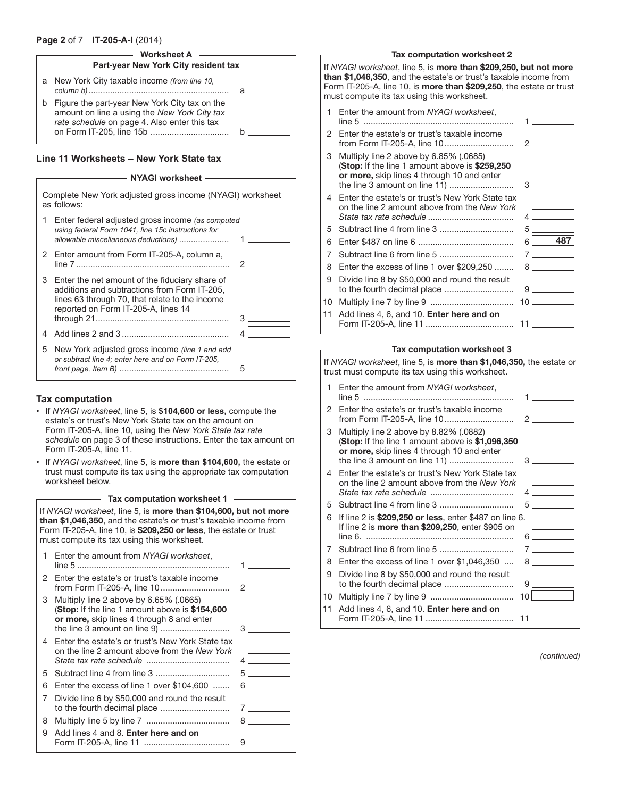#### **Page 2** of 7 **IT-205-A-I** (2014)

### **Worksheet A**

| Part-year New York City resident tax |                                                                                                                                               |  |  |  |  |  |  |
|--------------------------------------|-----------------------------------------------------------------------------------------------------------------------------------------------|--|--|--|--|--|--|
|                                      | a New York City taxable income (from line 10,                                                                                                 |  |  |  |  |  |  |
| b                                    | Figure the part-year New York City tax on the<br>amount on line a using the New York City tax<br>rate schedule on page 4. Also enter this tax |  |  |  |  |  |  |

#### **Line 11 Worksheets – New York State tax**

#### - NYAGI worksheet -

|   | Complete New York adjusted gross income (NYAGI) worksheet<br>as follows:                                                                                                                |   |  |  |  |  |
|---|-----------------------------------------------------------------------------------------------------------------------------------------------------------------------------------------|---|--|--|--|--|
| 1 | Enter federal adjusted gross income (as computed<br>using federal Form 1041, line 15c instructions for<br>allowable miscellaneous deductions)                                           |   |  |  |  |  |
| 2 | Enter amount from Form IT-205-A, column a,                                                                                                                                              |   |  |  |  |  |
| 3 | Enter the net amount of the fiduciary share of<br>additions and subtractions from Form IT-205.<br>lines 63 through 70, that relate to the income<br>reported on Form IT-205-A, lines 14 |   |  |  |  |  |
|   |                                                                                                                                                                                         | 3 |  |  |  |  |
| 4 |                                                                                                                                                                                         | 4 |  |  |  |  |
| 5 | New York adjusted gross income (line 1 and add<br>or subtract line 4; enter here and on Form IT-205.                                                                                    |   |  |  |  |  |

#### **Tax computation**

- If *NYAGI worksheet*, line 5, is **\$104,600 or less,** compute the estate's or trust's New York State tax on the amount on Form IT-205-A, line 10, using the *New York State tax rate schedule* on page 3 of these instructions. Enter the tax amount on Form IT-205-A, line 11.
- If *NYAGI worksheet*, line 5, is **more than \$104,600,** the estate or trust must compute its tax using the appropriate tax computation worksheet below.

**Tax computation worksheet 1**

If *NYAGI worksheet*, line 5, is more than \$104,600, but not more than \$1,046,350, and the estate's or trust's taxable income from Form IT-205-A, line 10, is \$209,250 or less, the estate or trust must compute its tax using this worksheet.

|    | Enter the amount from NYAGI worksheet,                                                                                                                                   |   |
|----|--------------------------------------------------------------------------------------------------------------------------------------------------------------------------|---|
| 2  | Enter the estate's or trust's taxable income                                                                                                                             |   |
| 3  | Multiply line 2 above by $6.65\%$ (.0665)<br>(Stop: If the line 1 amount above is \$154,600<br>or more, skip lines 4 through 8 and enter<br>the line 3 amount on line 9) | З |
|    | 4 Enter the estate's or trust's New York State tax<br>on the line 2 amount above from the New York                                                                       | 4 |
| 5. |                                                                                                                                                                          | 5 |
| 6  | Enter the excess of line 1 over \$104,600                                                                                                                                | 6 |
| 7  | Divide line 6 by \$50,000 and round the result                                                                                                                           |   |
| 8  |                                                                                                                                                                          | 8 |
| 9  | Add lines 4 and 8. Enter here and on                                                                                                                                     | 9 |

#### - Tax computation worksheet 2 -

If *NYAGI worksheet*, line 5, is more than \$209,250, but not more than \$1,046,350, and the estate's or trust's taxable income from Form IT-205-A, line 10, is more than \$209,250, the estate or trust must compute its tax using this worksheet. 1 Enter the amount from *NYAGI worksheet*, line 5 ............................................................... 1

- 2 Enter the estate's or trust's taxable income from Form IT-205-A, line 10............................. 2
- 3 Multiply line 2 above by 6.85% (.0685) (Stop: If the line 1 amount above is \$259,250 or more, skip lines 4 through 10 and enter the line 3 amount on line 11) ........................... 3
- 4 Enter the estate's or trust's New York State tax on the line 2 amount above from the *New York State tax rate schedule* .................................... 4 5 Subtract line 4 from line 3 ............................... 5 6 Enter \$487 on line 6 ........................................ 6 487
- 7 Subtract line 6 from line 5 ............................... 7 8 Enter the excess of line 1 over \$209,250 ........ 8 9 Divide line 8 by \$50,000 and round the result to the fourth decimal place ............................. 9
- 10 Multiply line 7 by line 9 ................................... 10 11 Add lines 4, 6, and 10. Enter here and on Form IT-205-A, line 11 ..................................... 11

#### **Tax computation worksheet 3**

If *NYAGI worksheet*, line 5, is more than \$1,046,350, the estate or trust must compute its tax using this worksheet.

| 1  | Enter the amount from NYAGI worksheet,                                                                                                   |                 |
|----|------------------------------------------------------------------------------------------------------------------------------------------|-----------------|
| 2  | Enter the estate's or trust's taxable income                                                                                             | 2               |
| 3  | Multiply line 2 above by 8.82% (.0882)<br>(Stop: If the line 1 amount above is \$1,096,350<br>or more, skip lines 4 through 10 and enter | 3               |
| 4  | Enter the estate's or trust's New York State tax<br>on the line 2 amount above from the New York                                         | 4               |
| 5  |                                                                                                                                          | 5               |
| 6  | If line 2 is \$209,250 or less, enter \$487 on line 6.<br>If line 2 is <b>more than \$209,250</b> , enter \$905 on                       | 61              |
| 7  |                                                                                                                                          |                 |
| 8  | Enter the excess of line 1 over \$1,046,350                                                                                              |                 |
| 9  | Divide line 8 by \$50,000 and round the result                                                                                           | 9               |
| 10 |                                                                                                                                          | 10 <sup>1</sup> |
| 11 | Add lines 4, 6, and 10. Enter here and on                                                                                                | 11              |

*(continued)*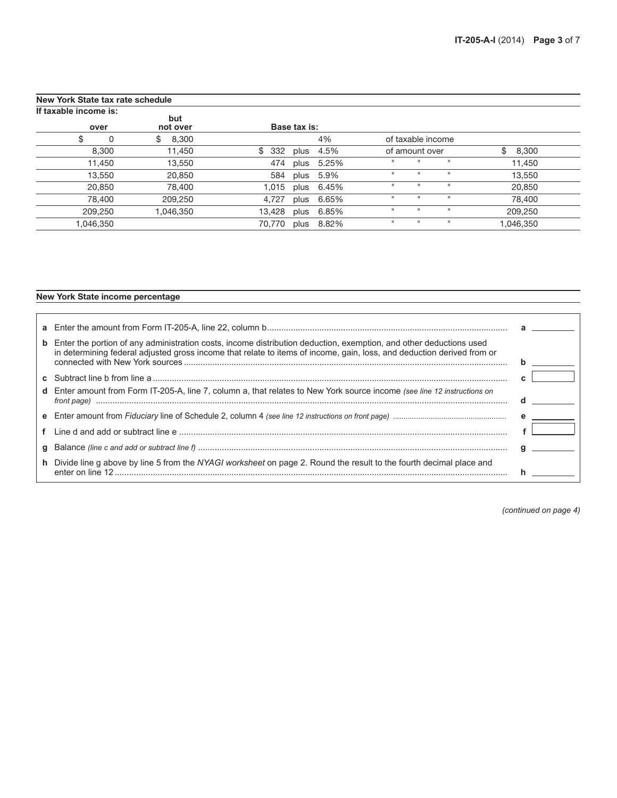| New York State tax rate schedule |           |                 |           |              |       |              |                   |              |             |  |
|----------------------------------|-----------|-----------------|-----------|--------------|-------|--------------|-------------------|--------------|-------------|--|
| If taxable income is:            | over      | but<br>not over |           | Base tax is: |       |              |                   |              |             |  |
| \$                               | 0         | \$<br>8,300     |           |              | 4%    |              | of taxable income |              |             |  |
|                                  | 8,300     | 11,450          | 332<br>\$ | plus         | 4.5%  |              | of amount over    |              | \$<br>8,300 |  |
|                                  | 11,450    | 13,550          | 474       | plus         | 5.25% | п            |                   | $\mathbf{H}$ | 11,450      |  |
|                                  | 13,550    | 20,850          | 584       | plus         | 5.9%  | $\mathbf{H}$ | $\mathbf{u}$      | $\mathbf{H}$ | 13,550      |  |
|                                  | 20,850    | 78,400          | 1.015     | plus         | 6.45% | $\mathbf{H}$ |                   | $\mathbf{H}$ | 20,850      |  |
|                                  | 78,400    | 209,250         | 4,727     | plus         | 6.65% | $\mathbf{H}$ |                   | $\mathbf{H}$ | 78,400      |  |
|                                  | 209,250   | 1,046,350       | 13,428    | plus         | 6.85% | п            | $\mathbf{H}$      | $\mathbf{H}$ | 209,250     |  |
|                                  | 1,046,350 |                 | 70,770    | plus         | 8.82% | $\mathbf{H}$ |                   | $\mathbf{H}$ | 1,046,350   |  |

### New York State income percentage

| <b>b</b> Enter the portion of any administration costs, income distribution deduction, exemption, and other deductions used<br>in determining federal adjusted gross income that relate to items of income, gain, loss, and deduction derived from or |  |
|-------------------------------------------------------------------------------------------------------------------------------------------------------------------------------------------------------------------------------------------------------|--|
|                                                                                                                                                                                                                                                       |  |
| d Enter amount from Form IT-205-A, line 7, column a, that relates to New York source income (see line 12 instructions on                                                                                                                              |  |
|                                                                                                                                                                                                                                                       |  |
|                                                                                                                                                                                                                                                       |  |
|                                                                                                                                                                                                                                                       |  |
| h Divide line g above by line 5 from the NYAGI worksheet on page 2. Round the result to the fourth decimal place and                                                                                                                                  |  |

*(continued on page 4)*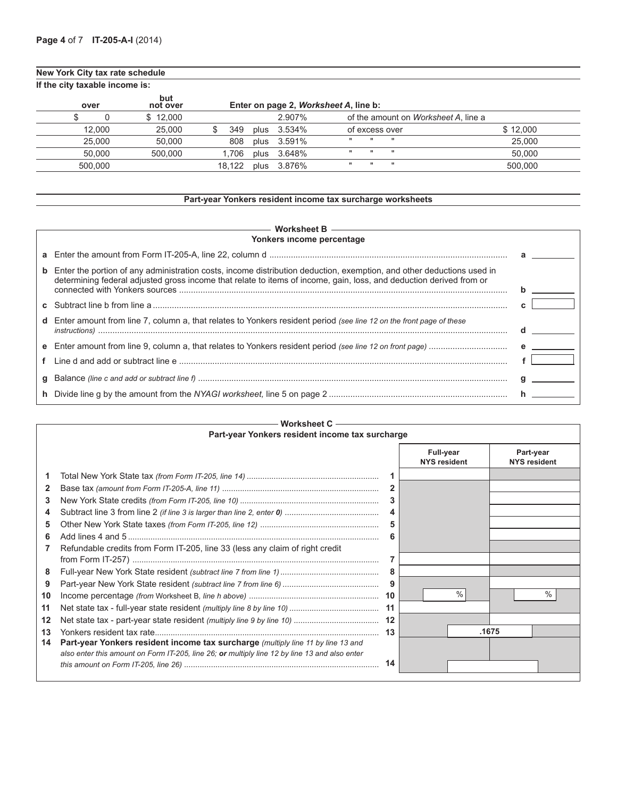## **New York City tax rate schedule**

| If the city taxable income is: |                 |        |  |             |                                              |          |  |  |
|--------------------------------|-----------------|--------|--|-------------|----------------------------------------------|----------|--|--|
| over                           | but<br>not over |        |  |             | Enter on page 2, Worksheet A, line b:        |          |  |  |
|                                | \$12.000        |        |  | 2.907%      | of the amount on <i>Worksheet A</i> , line a |          |  |  |
| 12.000                         | 25,000          | 349    |  | plus 3.534% | of excess over                               | \$12.000 |  |  |
| 25,000                         | 50.000          | 808    |  | plus 3.591% | $\mathbf{H}$<br><br>.                        | 25,000   |  |  |
| 50.000                         | 500.000         | 1.706  |  | plus 3.648% | <b>H</b><br><br>$\mathbf{u}$                 | 50.000   |  |  |
| 500.000                        |                 | 18.122 |  | plus 3.876% | $\mathbf{H}$<br><br>$\mathbf{u}$             | 500.000  |  |  |

## **Part-year Yonkers resident income tax surcharge worksheets**

| Worksheet B $\longrightarrow$<br>Yonkers income percentage                                                                                                                                                                                            |  |  |  |  |  |  |
|-------------------------------------------------------------------------------------------------------------------------------------------------------------------------------------------------------------------------------------------------------|--|--|--|--|--|--|
|                                                                                                                                                                                                                                                       |  |  |  |  |  |  |
| <b>b</b> Enter the portion of any administration costs, income distribution deduction, exemption, and other deductions used in<br>determining federal adjusted gross income that relate to items of income, gain, loss, and deduction derived from or |  |  |  |  |  |  |
|                                                                                                                                                                                                                                                       |  |  |  |  |  |  |
| d Enter amount from line 7, column a, that relates to Yonkers resident period (see line 12 on the front page of these                                                                                                                                 |  |  |  |  |  |  |
|                                                                                                                                                                                                                                                       |  |  |  |  |  |  |
|                                                                                                                                                                                                                                                       |  |  |  |  |  |  |
|                                                                                                                                                                                                                                                       |  |  |  |  |  |  |
|                                                                                                                                                                                                                                                       |  |  |  |  |  |  |

|    | Worksheet C                                                                                   |    |                                  |      |       |                                  |  |  |
|----|-----------------------------------------------------------------------------------------------|----|----------------------------------|------|-------|----------------------------------|--|--|
|    | Part-year Yonkers resident income tax surcharge                                               |    |                                  |      |       |                                  |  |  |
|    |                                                                                               |    | Full-year<br><b>NYS resident</b> |      |       | Part-year<br><b>NYS resident</b> |  |  |
|    |                                                                                               |    |                                  |      |       |                                  |  |  |
| 2  |                                                                                               |    |                                  |      |       |                                  |  |  |
| 3  |                                                                                               |    |                                  |      |       |                                  |  |  |
| 4  |                                                                                               |    |                                  |      |       |                                  |  |  |
| 5  |                                                                                               |    |                                  |      |       |                                  |  |  |
| 6  |                                                                                               |    |                                  |      |       |                                  |  |  |
|    | Refundable credits from Form IT-205, line 33 (less any claim of right credit                  |    |                                  |      |       |                                  |  |  |
|    |                                                                                               |    |                                  |      |       |                                  |  |  |
| 8  |                                                                                               |    |                                  |      |       |                                  |  |  |
| 9  |                                                                                               |    |                                  |      |       |                                  |  |  |
| 10 |                                                                                               | 10 |                                  | $\%$ |       | $\%$                             |  |  |
| 11 |                                                                                               | 11 |                                  |      |       |                                  |  |  |
| 12 |                                                                                               | 12 |                                  |      |       |                                  |  |  |
| 13 |                                                                                               |    |                                  |      | .1675 |                                  |  |  |
| 14 | Part-year Yonkers resident income tax surcharge (multiply line 11 by line 13 and              |    |                                  |      |       |                                  |  |  |
|    | also enter this amount on Form IT-205, line 26; or multiply line 12 by line 13 and also enter |    |                                  |      |       |                                  |  |  |
|    |                                                                                               | 14 |                                  |      |       |                                  |  |  |
|    |                                                                                               |    |                                  |      |       |                                  |  |  |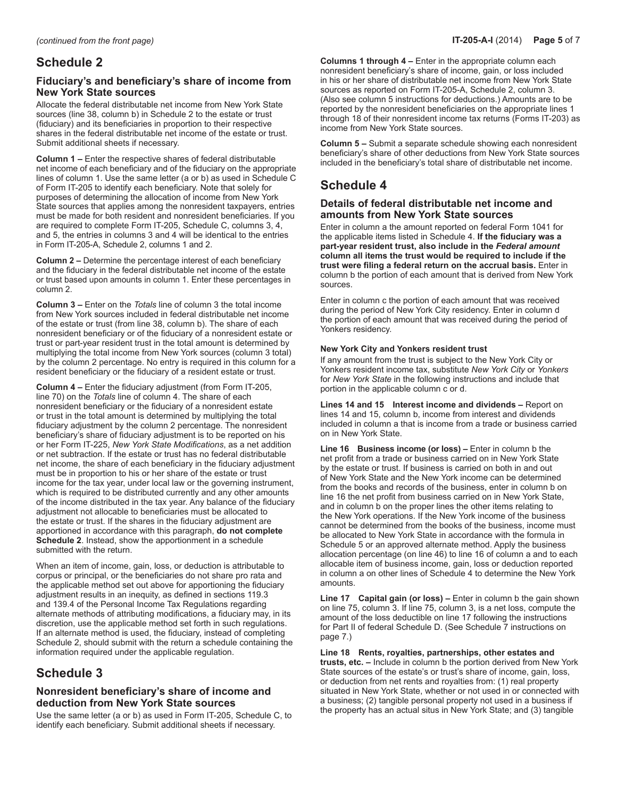## **Schedule 2**

## **Fiduciary's and beneficiary's share of income from New York State sources**

Allocate the federal distributable net income from New York State sources (line 38, column b) in Schedule 2 to the estate or trust (fiduciary) and its beneficiaries in proportion to their respective shares in the federal distributable net income of the estate or trust. Submit additional sheets if necessary.

**Column 1 –** Enter the respective shares of federal distributable net income of each beneficiary and of the fiduciary on the appropriate lines of column 1. Use the same letter (a or b) as used in Schedule C of Form IT‑205 to identify each beneficiary. Note that solely for purposes of determining the allocation of income from New York State sources that applies among the nonresident taxpayers, entries must be made for both resident and nonresident beneficiaries. If you are required to complete Form IT-205, Schedule C, columns 3, 4, and 5, the entries in columns 3 and 4 will be identical to the entries in Form IT-205-A, Schedule 2, columns 1 and 2.

**Column 2 –** Determine the percentage interest of each beneficiary and the fiduciary in the federal distributable net income of the estate or trust based upon amounts in column 1. Enter these percentages in column 2.

**Column 3 –** Enter on the *Totals* line of column 3 the total income from New York sources included in federal distributable net income of the estate or trust (from line 38, column b). The share of each nonresident beneficiary or of the fiduciary of a nonresident estate or trust or part-year resident trust in the total amount is determined by multiplying the total income from New York sources (column 3 total) by the column 2 percentage. No entry is required in this column for a resident beneficiary or the fiduciary of a resident estate or trust.

**Column 4 –** Enter the fiduciary adjustment (from Form IT‑205, line 70) on the *Totals* line of column 4. The share of each nonresident beneficiary or the fiduciary of a nonresident estate or trust in the total amount is determined by multiplying the total fiduciary adjustment by the column 2 percentage. The nonresident beneficiary's share of fiduciary adjustment is to be reported on his or her Form IT-225, *New York State Modifications*, as a net addition or net subtraction. If the estate or trust has no federal distributable net income, the share of each beneficiary in the fiduciary adjustment must be in proportion to his or her share of the estate or trust income for the tax year, under local law or the governing instrument, which is required to be distributed currently and any other amounts of the income distributed in the tax year. Any balance of the fiduciary adjustment not allocable to beneficiaries must be allocated to the estate or trust. If the shares in the fiduciary adjustment are apportioned in accordance with this paragraph, **do not complete Schedule 2**. Instead, show the apportionment in a schedule submitted with the return.

When an item of income, gain, loss, or deduction is attributable to corpus or principal, or the beneficiaries do not share pro rata and the applicable method set out above for apportioning the fiduciary adjustment results in an inequity, as defined in sections 119.3 and 139.4 of the Personal Income Tax Regulations regarding alternate methods of attributing modifications, a fiduciary may, in its discretion, use the applicable method set forth in such regulations. If an alternate method is used, the fiduciary, instead of completing Schedule 2, should submit with the return a schedule containing the information required under the applicable regulation.

# **Schedule 3**

### **Nonresident beneficiary's share of income and deduction from New York State sources**

Use the same letter (a or b) as used in Form IT-205, Schedule C, to identify each beneficiary. Submit additional sheets if necessary.

**Columns 1 through 4 –** Enter in the appropriate column each nonresident beneficiary's share of income, gain, or loss included in his or her share of distributable net income from New York State sources as reported on Form IT-205-A, Schedule 2, column 3. (Also see column 5 instructions for deductions.) Amounts are to be reported by the nonresident beneficiaries on the appropriate lines 1 through 18 of their nonresident income tax returns (Forms IT-203) as income from New York State sources.

**Column 5 –** Submit a separate schedule showing each nonresident beneficiary's share of other deductions from New York State sources included in the beneficiary's total share of distributable net income.

# **Schedule 4**

### **Details of federal distributable net income and amounts from New York State sources**

Enter in column a the amount reported on federal Form 1041 for the applicable items listed in Schedule 4. **If the fiduciary was a part-year resident trust, also include in the** *Federal amount*  **column all items the trust would be required to include if the trust were filing a federal return on the accrual basis.** Enter in column b the portion of each amount that is derived from New York sources.

Enter in column c the portion of each amount that was received during the period of New York City residency. Enter in column d the portion of each amount that was received during the period of Yonkers residency.

### **New York City and Yonkers resident trust**

If any amount from the trust is subject to the New York City or Yonkers resident income tax, substitute *New York City* or *Yonkers* for *New York State* in the following instructions and include that portion in the applicable column c or d.

**Lines 14 and 15 Interest income and dividends –** Report on lines 14 and 15, column b, income from interest and dividends included in column a that is income from a trade or business carried on in New York State.

**Line 16 Business income (or loss) –** Enter in column b the net profit from a trade or business carried on in New York State by the estate or trust. If business is carried on both in and out of New York State and the New York income can be determined from the books and records of the business, enter in column b on line 16 the net profit from business carried on in New York State, and in column b on the proper lines the other items relating to the New York operations. If the New York income of the business cannot be determined from the books of the business, income must be allocated to New York State in accordance with the formula in Schedule 5 or an approved alternate method. Apply the business allocation percentage (on line 46) to line 16 of column a and to each allocable item of business income, gain, loss or deduction reported in column a on other lines of Schedule 4 to determine the New York amounts.

**Line 17 Capital gain (or loss) –** Enter in column b the gain shown on line 75, column 3. If line 75, column 3, is a net loss, compute the amount of the loss deductible on line 17 following the instructions for Part II of federal Schedule D. (See Schedule 7 instructions on page 7.)

**Line 18 Rents, royalties, partnerships, other estates and trusts, etc. –** Include in column b the portion derived from New York State sources of the estate's or trust's share of income, gain, loss, or deduction from net rents and royalties from: (1) real property situated in New York State, whether or not used in or connected with a business; (2) tangible personal property not used in a business if the property has an actual situs in New York State; and (3) tangible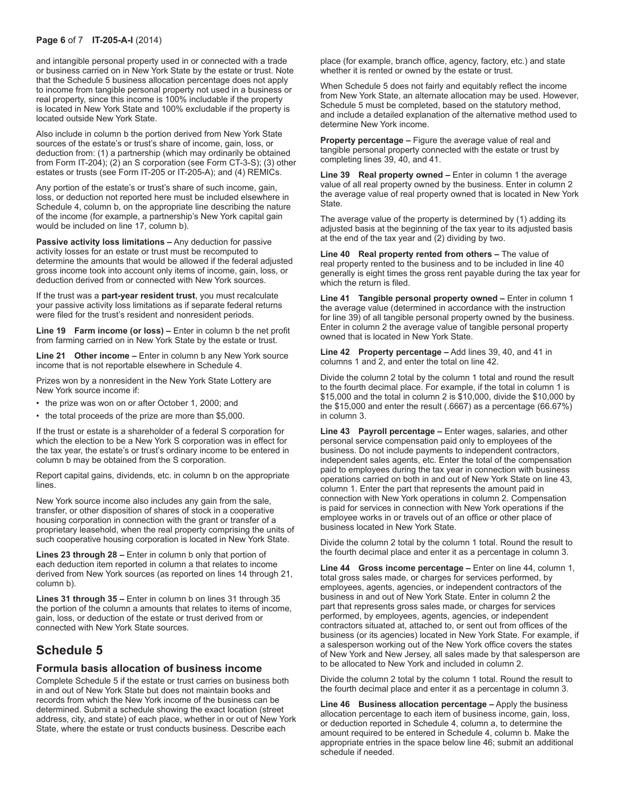#### **Page 6** of 7 **IT-205-A-I** (2014)

and intangible personal property used in or connected with a trade or business carried on in New York State by the estate or trust. Note that the Schedule 5 business allocation percentage does not apply to income from tangible personal property not used in a business or real property, since this income is 100% includable if the property is located in New York State and 100% excludable if the property is located outside New York State.

Also include in column b the portion derived from New York State sources of the estate's or trust's share of income, gain, loss, or deduction from: (1) a partnership (which may ordinarily be obtained from Form IT-204); (2) an S corporation (see Form CT-3-S); (3) other estates or trusts (see Form IT-205 or IT-205-A); and (4) REMICs.

Any portion of the estate's or trust's share of such income, gain, loss, or deduction not reported here must be included elsewhere in Schedule 4, column b, on the appropriate line describing the nature of the income (for example, a partnership's New York capital gain would be included on line 17, column b).

**Passive activity loss limitations –** Any deduction for passive activity losses for an estate or trust must be recomputed to determine the amounts that would be allowed if the federal adjusted gross income took into account only items of income, gain, loss, or deduction derived from or connected with New York sources.

If the trust was a **part-year resident trust**, you must recalculate your passive activity loss limitations as if separate federal returns were filed for the trust's resident and nonresident periods.

**Line 19 Farm income (or loss) –** Enter in column b the net profit from farming carried on in New York State by the estate or trust.

**Line 21 Other income –** Enter in column b any New York source income that is not reportable elsewhere in Schedule 4.

Prizes won by a nonresident in the New York State Lottery are New York source income if:

- the prize was won on or after October 1, 2000; and
- the total proceeds of the prize are more than \$5,000.

If the trust or estate is a shareholder of a federal S corporation for which the election to be a New York S corporation was in effect for the tax year, the estate's or trust's ordinary income to be entered in column b may be obtained from the S corporation.

Report capital gains, dividends, etc. in column b on the appropriate lines.

New York source income also includes any gain from the sale, transfer, or other disposition of shares of stock in a cooperative housing corporation in connection with the grant or transfer of a proprietary leasehold, when the real property comprising the units of such cooperative housing corporation is located in New York State.

**Lines 23 through 28 –** Enter in column b only that portion of each deduction item reported in column a that relates to income derived from New York sources (as reported on lines 14 through 21, column b).

**Lines 31 through 35 –** Enter in column b on lines 31 through 35 the portion of the column a amounts that relates to items of income, gain, loss, or deduction of the estate or trust derived from or connected with New York State sources.

## **Schedule 5**

#### **Formula basis allocation of business income**

Complete Schedule 5 if the estate or trust carries on business both in and out of New York State but does not maintain books and records from which the New York income of the business can be determined. Submit a schedule showing the exact location (street address, city, and state) of each place, whether in or out of New York State, where the estate or trust conducts business. Describe each

place (for example, branch office, agency, factory, etc.) and state whether it is rented or owned by the estate or trust.

When Schedule 5 does not fairly and equitably reflect the income from New York State, an alternate allocation may be used. However, Schedule 5 must be completed, based on the statutory method, and include a detailed explanation of the alternative method used to determine New York income.

**Property percentage –** Figure the average value of real and tangible personal property connected with the estate or trust by completing lines 39, 40, and 41.

**Line 39 Real property owned –** Enter in column 1 the average value of all real property owned by the business. Enter in column 2 the average value of real property owned that is located in New York State.

The average value of the property is determined by (1) adding its adjusted basis at the beginning of the tax year to its adjusted basis at the end of the tax year and  $(2)$  dividing by two.

**Line 40 Real property rented from others –** The value of real property rented to the business and to be included in line 40 generally is eight times the gross rent payable during the tax year for which the return is filed.

**Line 41 Tangible personal property owned –** Enter in column 1 the average value (determined in accordance with the instruction for line 39) of all tangible personal property owned by the business. Enter in column 2 the average value of tangible personal property owned that is located in New York State.

**Line 42 Property percentage –** Add lines 39, 40, and 41 in columns 1 and 2, and enter the total on line 42.

Divide the column 2 total by the column 1 total and round the result to the fourth decimal place. For example, if the total in column 1 is \$15,000 and the total in column 2 is \$10,000, divide the \$10,000 by the \$15,000 and enter the result (.6667) as a percentage (66.67%) in column 3.

**Line 43 Payroll percentage –** Enter wages, salaries, and other personal service compensation paid only to employees of the business. Do not include payments to independent contractors, independent sales agents, etc. Enter the total of the compensation paid to employees during the tax year in connection with business operations carried on both in and out of New York State on line 43, column 1. Enter the part that represents the amount paid in connection with New York operations in column 2. Compensation is paid for services in connection with New York operations if the employee works in or travels out of an office or other place of business located in New York State.

Divide the column 2 total by the column 1 total. Round the result to the fourth decimal place and enter it as a percentage in column 3.

**Line 44 Gross income percentage –** Enter on line 44, column 1, total gross sales made, or charges for services performed, by employees, agents, agencies, or independent contractors of the business in and out of New York State. Enter in column 2 the part that represents gross sales made, or charges for services performed, by employees, agents, agencies, or independent contractors situated at, attached to, or sent out from offices of the business (or its agencies) located in New York State. For example, if a salesperson working out of the New York office covers the states of New York and New Jersey, all sales made by that salesperson are to be allocated to New York and included in column 2.

Divide the column 2 total by the column 1 total. Round the result to the fourth decimal place and enter it as a percentage in column 3.

**Line 46 Business allocation percentage –** Apply the business allocation percentage to each item of business income, gain, loss, or deduction reported in Schedule 4, column a, to determine the amount required to be entered in Schedule 4, column b. Make the appropriate entries in the space below line 46; submit an additional schedule if needed.